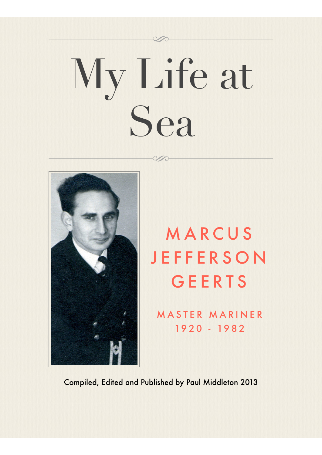# My Life at Sea



## MARCUS **JEFFERSON** GEERTS

MASTER MARINER 1920 - 1982

Compiled, Edited and Published by Paul Middleton 2013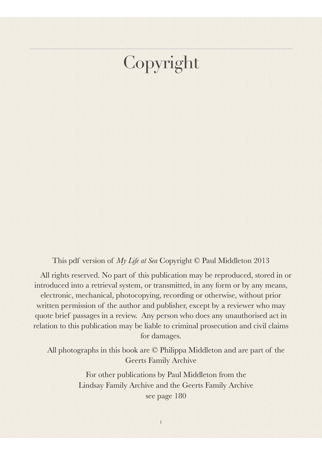## Copyright

This pdf version of *My Life at Sea* Copyright © Paul Middleton 2013

All rights reserved. No part of this publication may be reproduced, stored in or introduced into a retrieval system, or transmitted, in any form or by any means, electronic, mechanical, photocopying, recording or otherwise, without prior written permission of the author and publisher, except by a reviewer who may quote brief passages in a review. Any person who does any unauthorised act in relation to this publication may be liable to criminal prosecution and civil claims for damages.

All photographs in this book are © Philippa Middleton and are part of the Geerts Family Archive

> For other publications by Paul Middleton from the Lindsay Family Archive and the Geerts Family Archive see page 180

> > i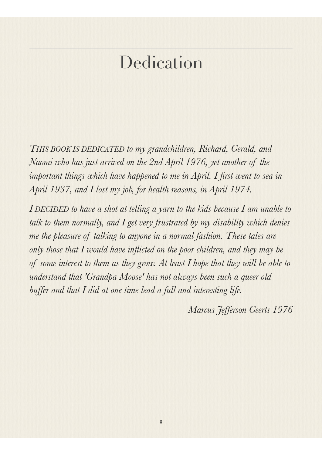## **Dedication**

*THIS BOOK IS DEDICATED to my grandchildren, Richard, Gerald, and Naomi who has just arrived on the 2nd April 1976, yet another of the important things which have happened to me in April. I first went to sea in April 1937, and I lost my job, for health reasons, in April 1974.*

*I DECIDED to have a shot at telling a yarn to the kids because I am unable to talk to them normally, and I get very frustrated by my disability which denies me the pleasure of talking to anyone in a normal fashion. These tales are only those that I would have inflicted on the poor children, and they may be of some interest to them as they grow. At least I hope that they will be able to understand that 'Grandpa Moose' has not always been such a queer old buffer and that I did at one time lead a full and interesting life.*

ii

*Marcus Jefferson Geerts 1976*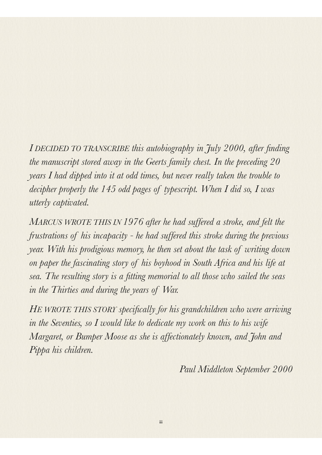*I DECIDED TO TRANSCRIBE this autobiography in July 2000, after finding the manuscript stored away in the Geerts family chest. In the preceding 20 years I had dipped into it at odd times, but never really taken the trouble to decipher properly the 145 odd pages of typescript. When I did so, I was utterly captivated.*

*MARCUS WROTE THIS IN 1976 after he had suffered a stroke, and felt the frustrations of his incapacity - he had suffered this stroke during the previous year. With his prodigious memory, he then set about the task of writing down on paper the fascinating story of his boyhood in South Africa and his life at sea. The resulting story is a fitting memorial to all those who sailed the seas in the Thirties and during the years of War.*

*HE WROTE THIS STORY specifically for his grandchildren who were arriving in the Seventies, so I would like to dedicate my work on this to his wife Margaret, or Bumper Moose as she is affectionately known, and John and Pippa his children.*

iii

*Paul Middleton September 2000*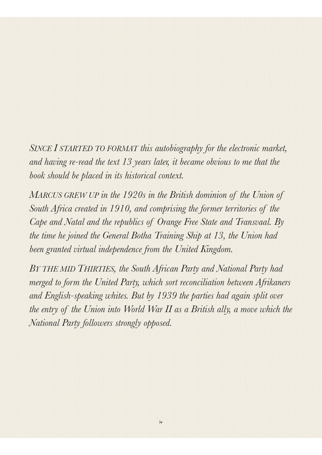*SINCE I STARTED TO FORMAT this autobiography for the electronic market, and having re-read the text 13 years later, it became obvious to me that the book should be placed in its historical context.*

*MARCUS GREW UP in the 1920s in the British dominion of the Union of South Africa created in 1910, and comprising the former territories of the Cape and Natal and the republics of Orange Free State and Transvaal. By the time he joined the General Botha Training Ship at 13, the Union had been granted virtual independence from the United Kingdom.*

*BY THE MID THIRTIES, the South African Party and National Party had merged to form the United Party, which sort reconciliation between Afrikaners and English-speaking whites. But by 1939 the parties had again split over the entry of the Union into World War II as a British ally, a move which the National Party followers strongly opposed.*

iv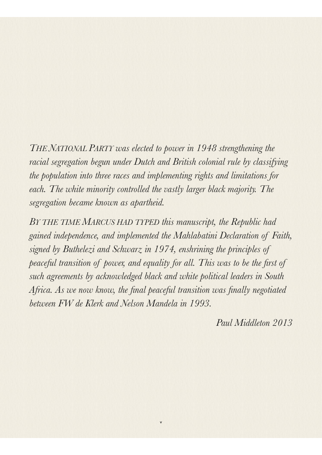*THE NATIONAL PARTY was elected to power in 1948 strengthening the racial segregation begun under Dutch and British colonial rule by classifying the population into three races and implementing rights and limitations for*  each. The white minority controlled the vastly larger black majority. The *segregation became known as apartheid.* 

*BY THE TIME MARCUS HAD TYPED this manuscript, the Republic had gained independence, and implemented the Mahlabatini Declaration of Faith, signed by Buthelezi and Schwarz in 1974, enshrining the principles of peaceful transition of power, and equality for all. This was to be the first of such agreements by acknowledged black and white political leaders in South Africa. As we now know, the final peaceful transition was finally negotiated between FW de Klerk and Nelson Mandela in 1993.*

v

*Paul Middleton 2013*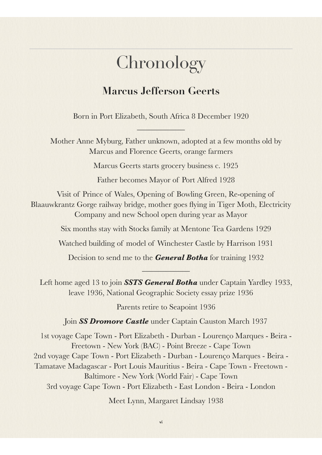## Chronology

#### **Marcus Jefferson Geerts**

Born in Port Elizabeth, South Africa 8 December 1920

\_\_\_\_\_\_\_\_\_\_\_\_

Mother Anne Myburg, Father unknown, adopted at a few months old by Marcus and Florence Geerts, orange farmers

Marcus Geerts starts grocery business c. 1925

Father becomes Mayor of Port Alfred 1928

Visit of Prince of Wales, Opening of Bowling Green, Re-opening of Blaauwkrantz Gorge railway bridge, mother goes flying in Tiger Moth, Electricity Company and new School open during year as Mayor

Six months stay with Stocks family at Mentone Tea Gardens 1929

Watched building of model of Winchester Castle by Harrison 1931

Decision to send me to the *General Botha* for training 1932 \_\_\_\_\_\_\_\_\_\_\_\_

Left home aged 13 to join *SSTS General Botha* under Captain Yardley 1933, leave 1936, National Geographic Society essay prize 1936

Parents retire to Seapoint 1936

Join *SS Dromore Castle* under Captain Causton March 1937

1st voyage Cape Town - Port Elizabeth - Durban - Lourenço Marques - Beira - Freetown - New York (BAC) - Point Breeze - Cape Town 2nd voyage Cape Town - Port Elizabeth - Durban - Lourenço Marques - Beira - Tamatave Madagascar - Port Louis Mauritius - Beira - Cape Town - Freetown - Baltimore - New York (World Fair) - Cape Town 3rd voyage Cape Town - Port Elizabeth - East London - Beira - London

Meet Lynn, Margaret Lindsay 1938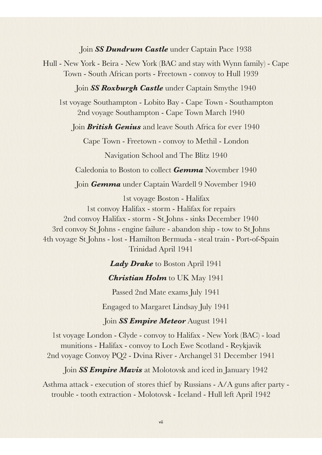#### Join *SS Dundrum Castle* under Captain Pace 1938

Hull - New York - Beira - New York (BAC and stay with Wynn family) - Cape Town - South African ports - Freetown - convoy to Hull 1939

#### Join *SS Roxburgh Castle* under Captain Smythe 1940

1st voyage Southampton - Lobito Bay - Cape Town - Southampton 2nd voyage Southampton - Cape Town March 1940

Join *British Genius* and leave South Africa for ever 1940

Cape Town - Freetown - convoy to Methil - London

Navigation School and The Blitz 1940

Caledonia to Boston to collect *Gemma* November 1940

Join *Gemma* under Captain Wardell 9 November 1940

1st voyage Boston - Halifax 1st convoy Halifax - storm - Halifax for repairs 2nd convoy Halifax - storm - St Johns - sinks December 1940 3rd convoy St Johns - engine failure - abandon ship - tow to St Johns 4th voyage St Johns - lost - Hamilton Bermuda - steal train - Port-of-Spain Trinidad April 1941

*Lady Drake* to Boston April 1941

*Christian Holm* to UK May 1941

Passed 2nd Mate exams July 1941

Engaged to Margaret Lindsay July 1941

Join *SS Empire Meteor* August 1941

1st voyage London - Clyde - convoy to Halifax - New York (BAC) - load munitions - Halifax - convoy to Loch Ewe Scotland - Reykjavik 2nd voyage Convoy PQ2 - Dvina River - Archangel 31 December 1941

Join *SS Empire Mavis* at Molotovsk and iced in January 1942

Asthma attack - execution of stores thief by Russians - A/A guns after party trouble - tooth extraction - Molotovsk - Iceland - Hull left April 1942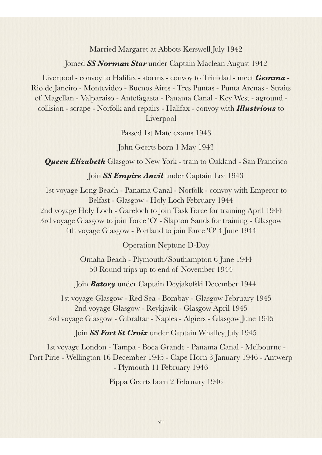Married Margaret at Abbots Kerswell July 1942

Joined *SS Norman Star* under Captain Maclean August 1942

Liverpool - convoy to Halifax - storms - convoy to Trinidad - meet *Gemma* - Rio de Janeiro - Montevideo - Buenos Aires - Tres Puntas - Punta Arenas - Straits of Magellan - Valparaiso - Antofagasta - Panama Canal - Key West - aground collision - scrape - Norfolk and repairs - Halifax - convoy with *Illustrious* to Liverpool

Passed 1st Mate exams 1943

John Geerts born 1 May 1943

**Queen Elizabeth** Glasgow to New York - train to Oakland - San Francisco

Join *SS Empire Anvil* under Captain Lee 1943

1st voyage Long Beach - Panama Canal - Norfolk - convoy with Emperor to Belfast - Glasgow - Holy Loch February 1944 2nd voyage Holy Loch - Gareloch to join Task Force for training April 1944 3rd voyage Glasgow to join Force 'O' - Slapton Sands for training - Glasgow 4th voyage Glasgow - Portland to join Force 'O' 4 June 1944

Operation Neptune D-Day

Omaha Beach - Plymouth/Southampton 6 June 1944 50 Round trips up to end of November 1944

Join *Batory* under Captain Deyjakofski December 1944

1st voyage Glasgow - Red Sea - Bombay - Glasgow February 1945 2nd voyage Glasgow - Reykjavik - Glasgow April 1945 3rd voyage Glasgow - Gibraltar - Naples - Algiers - Glasgow June 1945

Join *SS Fort St Croix* under Captain Whalley July 1945

1st voyage London - Tampa - Boca Grande - Panama Canal - Melbourne - Port Pirie - Wellington 16 December 1945 - Cape Horn 3 January 1946 - Antwerp - Plymouth 11 February 1946

Pippa Geerts born 2 February 1946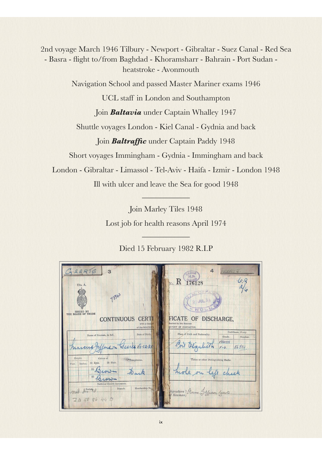2nd voyage March 1946 Tilbury - Newport - Gibraltar - Suez Canal - Red Sea - Basra - flight to/from Baghdad - Khoramsharr - Bahrain - Port Sudan heatstroke - Avonmouth

Navigation School and passed Master Mariner exams 1946

UCL staff in London and Southampton

Join *Baltavia* under Captain Whalley 1947

Shuttle voyages London - Kiel Canal - Gydnia and back

Join *Baltraffic* under Captain Paddy 1948

Short voyages Immingham - Gydnia - Immingham and back

London - Gibraltar - Limassol - Tel-Aviv - Haifa - Izmir - London 1948

Ill with ulcer and leave the Sea for good 1948  $\frac{1}{2}$  . The set of  $\frac{1}{2}$  ,  $\frac{1}{2}$  ,  $\frac{1}{2}$  ,  $\frac{1}{2}$ 

Join Marley Tiles 1948 Lost job for health reasons April 1974

Died 15 February 1982 R.I.P

\_\_\_\_\_\_\_\_\_\_\_\_

| G.EERTS<br>3<br>Dis. A.<br>73443<br><b>ISSUED BY</b><br>THE BOARD OF TRADE                                                         | 4<br>TEERT J.<br>$-6R$<br>176128<br>No. R<br>29 JUL 38                                                                |
|------------------------------------------------------------------------------------------------------------------------------------|-----------------------------------------------------------------------------------------------------------------------|
| <b>CERTI</b><br><b>CONTINUOUS</b><br>with a Copy If<br>of the MASTER'S                                                             | FICATE OF DISCHARGE,<br>desired by the Seaman<br>REPORT OF CHARACTER.                                                 |
| Date of Birth,<br>Name of Seaman, in full.<br>ferson Seeres 18.12.21<br>marcus fy                                                  | Certificate, if any.<br>Place of Birth and Nationality.<br>Grade.<br>Number.<br>MASTER<br>Clyabeth<br>56804.<br>$F-G$ |
| Height.<br>Colour of<br>*Complexion.<br>$(2)$ Hair.<br>$(1)$ Eyes.<br>Inches.<br>Feet.<br>(1)<br>(2)<br>National Health Insurance. | Tattoo or other Distinguishing Marks.<br>hole on                                                                      |
| Membership No.<br>Branch.<br>nul Association<br>745086440                                                                          | Signature Moreus Jefferson Geerts                                                                                     |